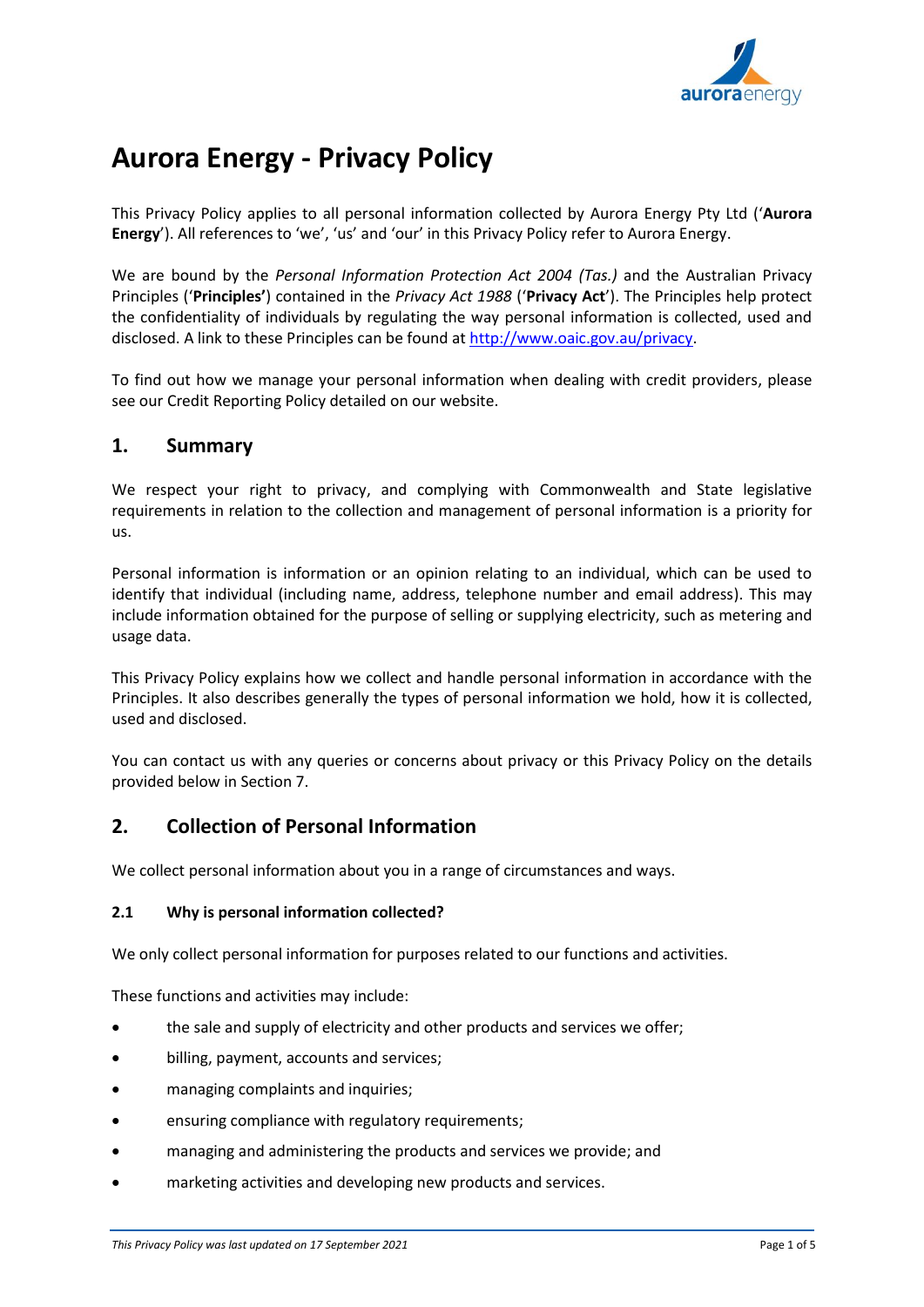

# **Aurora Energy - Privacy Policy**

This Privacy Policy applies to all personal information collected by Aurora Energy Pty Ltd ('**Aurora Energy**'). All references to 'we', 'us' and 'our' in this Privacy Policy refer to Aurora Energy.

We are bound by the *Personal Information Protection Act 2004 (Tas.)* and the Australian Privacy Principles ('**Principles'**) contained in the *Privacy Act 1988* ('**Privacy Act**'). The Principles help protect the confidentiality of individuals by regulating the way personal information is collected, used and disclosed. A link to these Principles can be found a[t http://www.oaic.gov.au/privacy.](http://www.oaic.gov.au/privacy)

To find out how we manage your personal information when dealing with credit providers, please see our Credit Reporting Policy detailed on our website.

### **1. Summary**

We respect your right to privacy, and complying with Commonwealth and State legislative requirements in relation to the collection and management of personal information is a priority for us.

Personal information is information or an opinion relating to an individual, which can be used to identify that individual (including name, address, telephone number and email address). This may include information obtained for the purpose of selling or supplying electricity, such as metering and usage data.

This Privacy Policy explains how we collect and handle personal information in accordance with the Principles. It also describes generally the types of personal information we hold, how it is collected, used and disclosed.

You can contact us with any queries or concerns about privacy or this Privacy Policy on the details provided below in Section 7.

## **2. Collection of Personal Information**

We collect personal information about you in a range of circumstances and ways.

#### **2.1 Why is personal information collected?**

We only collect personal information for purposes related to our functions and activities.

These functions and activities may include:

- the sale and supply of electricity and other products and services we offer;
- billing, payment, accounts and services;
- managing complaints and inquiries;
- ensuring compliance with regulatory requirements;
- managing and administering the products and services we provide; and
- marketing activities and developing new products and services.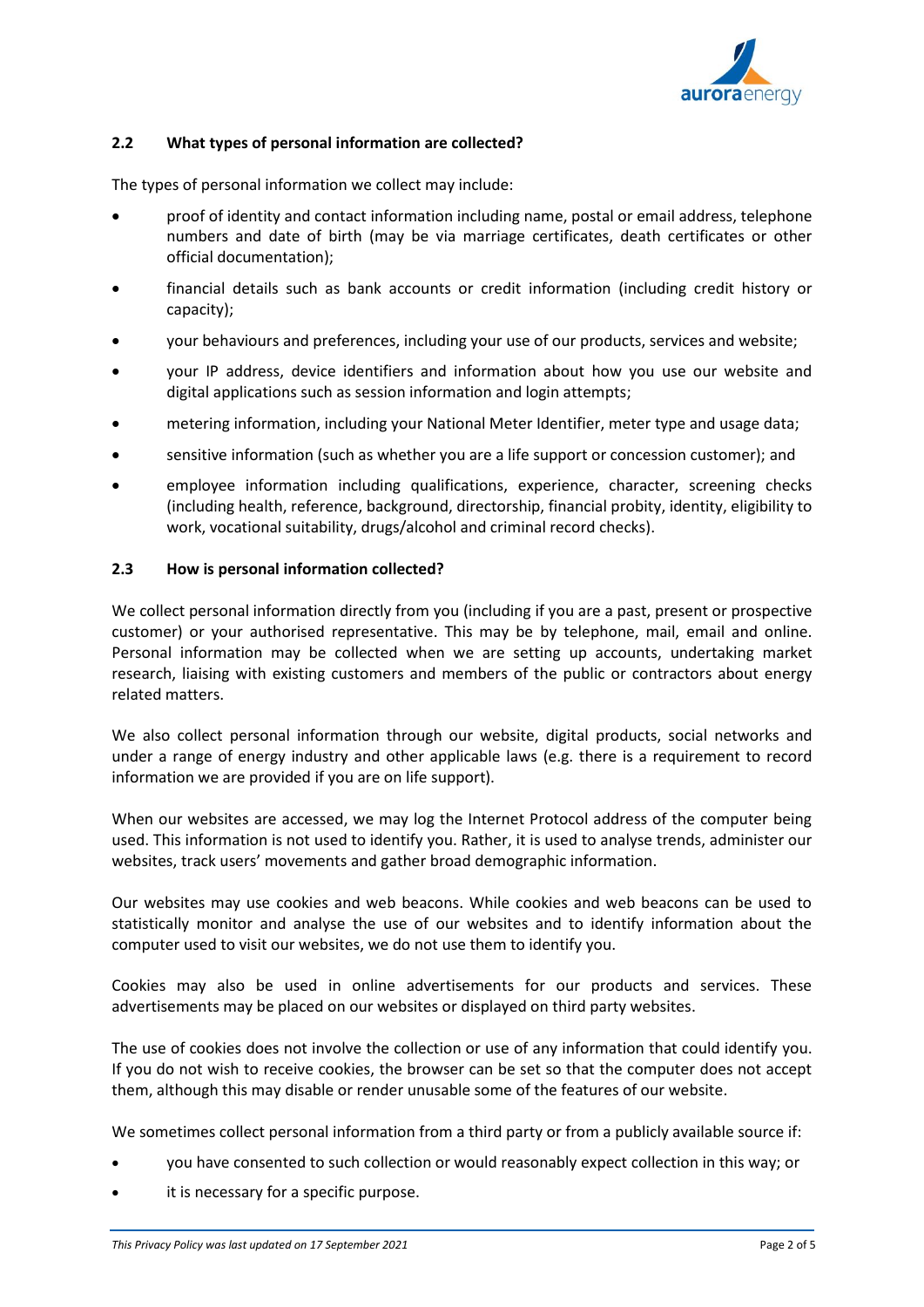

#### **2.2 What types of personal information are collected?**

The types of personal information we collect may include:

- proof of identity and contact information including name, postal or email address, telephone numbers and date of birth (may be via marriage certificates, death certificates or other official documentation);
- financial details such as bank accounts or credit information (including credit history or capacity);
- your behaviours and preferences, including your use of our products, services and website;
- your IP address, device identifiers and information about how you use our website and digital applications such as session information and login attempts;
- metering information, including your National Meter Identifier, meter type and usage data;
- sensitive information (such as whether you are a life support or concession customer); and
- employee information including qualifications, experience, character, screening checks (including health, reference, background, directorship, financial probity, identity, eligibility to work, vocational suitability, drugs/alcohol and criminal record checks).

#### **2.3 How is personal information collected?**

We collect personal information directly from you (including if you are a past, present or prospective customer) or your authorised representative. This may be by telephone, mail, email and online. Personal information may be collected when we are setting up accounts, undertaking market research, liaising with existing customers and members of the public or contractors about energy related matters.

We also collect personal information through our website, digital products, social networks and under a range of energy industry and other applicable laws (e.g. there is a requirement to record information we are provided if you are on life support).

When our websites are accessed, we may log the Internet Protocol address of the computer being used. This information is not used to identify you. Rather, it is used to analyse trends, administer our websites, track users' movements and gather broad demographic information.

Our websites may use cookies and web beacons. While cookies and web beacons can be used to statistically monitor and analyse the use of our websites and to identify information about the computer used to visit our websites, we do not use them to identify you.

Cookies may also be used in online advertisements for our products and services. These advertisements may be placed on our websites or displayed on third party websites.

The use of cookies does not involve the collection or use of any information that could identify you. If you do not wish to receive cookies, the browser can be set so that the computer does not accept them, although this may disable or render unusable some of the features of our website.

We sometimes collect personal information from a third party or from a publicly available source if:

- you have consented to such collection or would reasonably expect collection in this way; or
- it is necessary for a specific purpose.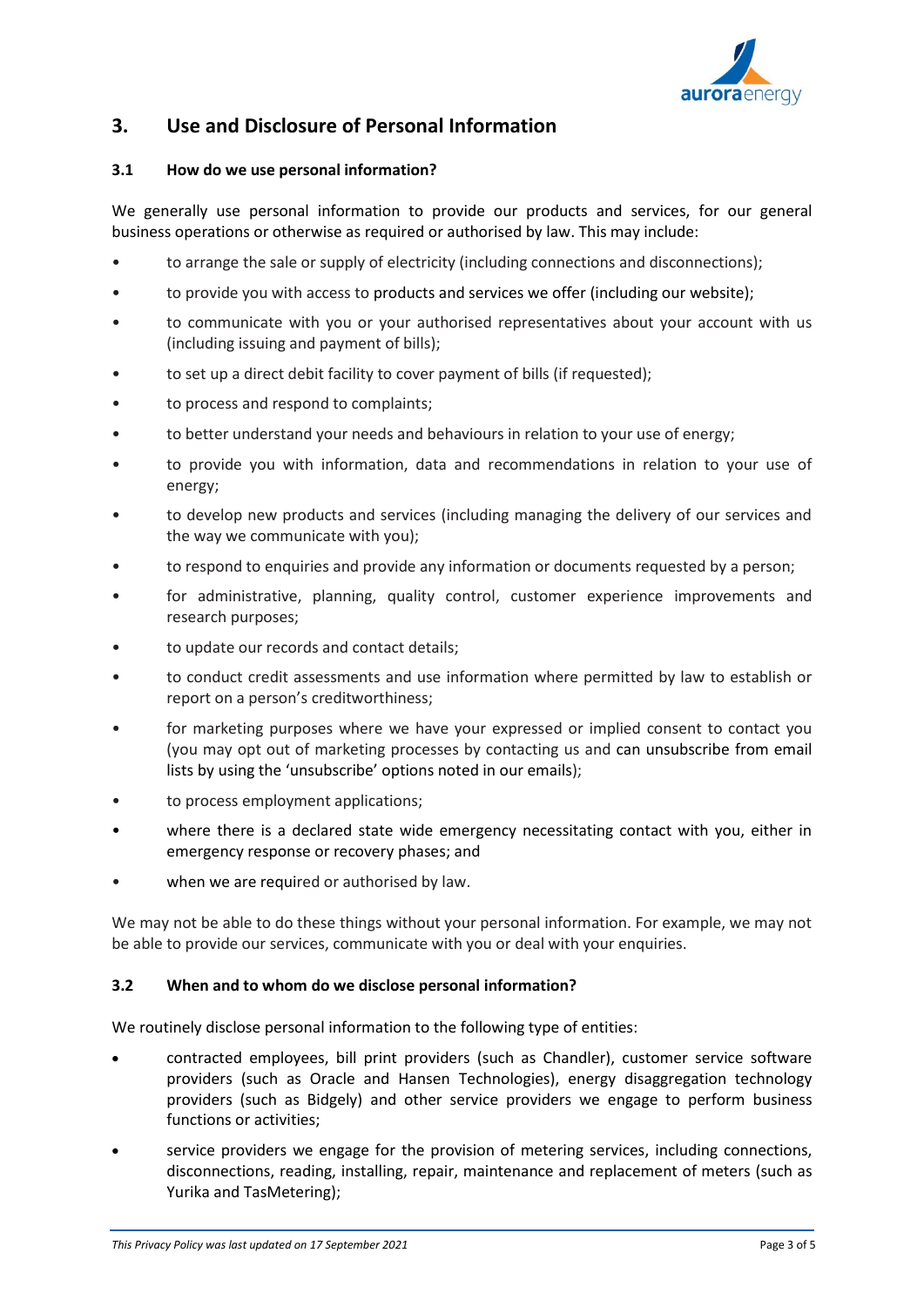

# **3. Use and Disclosure of Personal Information**

#### **3.1 How do we use personal information?**

We generally use personal information to provide our products and services, for our general business operations or otherwise as required or authorised by law. This may include:

- to arrange the sale or supply of electricity (including connections and disconnections);
- to provide you with access to products and services we offer (including our website);
- to communicate with you or your authorised representatives about your account with us (including issuing and payment of bills);
- to set up a direct debit facility to cover payment of bills (if requested);
- to process and respond to complaints;
- to better understand your needs and behaviours in relation to your use of energy;
- to provide you with information, data and recommendations in relation to your use of energy;
- to develop new products and services (including managing the delivery of our services and the way we communicate with you);
- to respond to enquiries and provide any information or documents requested by a person;
- for administrative, planning, quality control, customer experience improvements and research purposes;
- to update our records and contact details;
- to conduct credit assessments and use information where permitted by law to establish or report on a person's creditworthiness;
- for marketing purposes where we have your expressed or implied consent to contact you (you may opt out of marketing processes by contacting us and can unsubscribe from email lists by using the 'unsubscribe' options noted in our emails);
- to process employment applications;
- where there is a declared state wide emergency necessitating contact with you, either in emergency response or recovery phases; and
- when we are required or authorised by law.

We may not be able to do these things without your personal information. For example, we may not be able to provide our services, communicate with you or deal with your enquiries.

#### **3.2 When and to whom do we disclose personal information?**

We routinely disclose personal information to the following type of entities:

- contracted employees, bill print providers (such as Chandler), customer service software providers (such as Oracle and Hansen Technologies), energy disaggregation technology providers (such as Bidgely) and other service providers we engage to perform business functions or activities;
- service providers we engage for the provision of metering services, including connections, disconnections, reading, installing, repair, maintenance and replacement of meters (such as Yurika and TasMetering);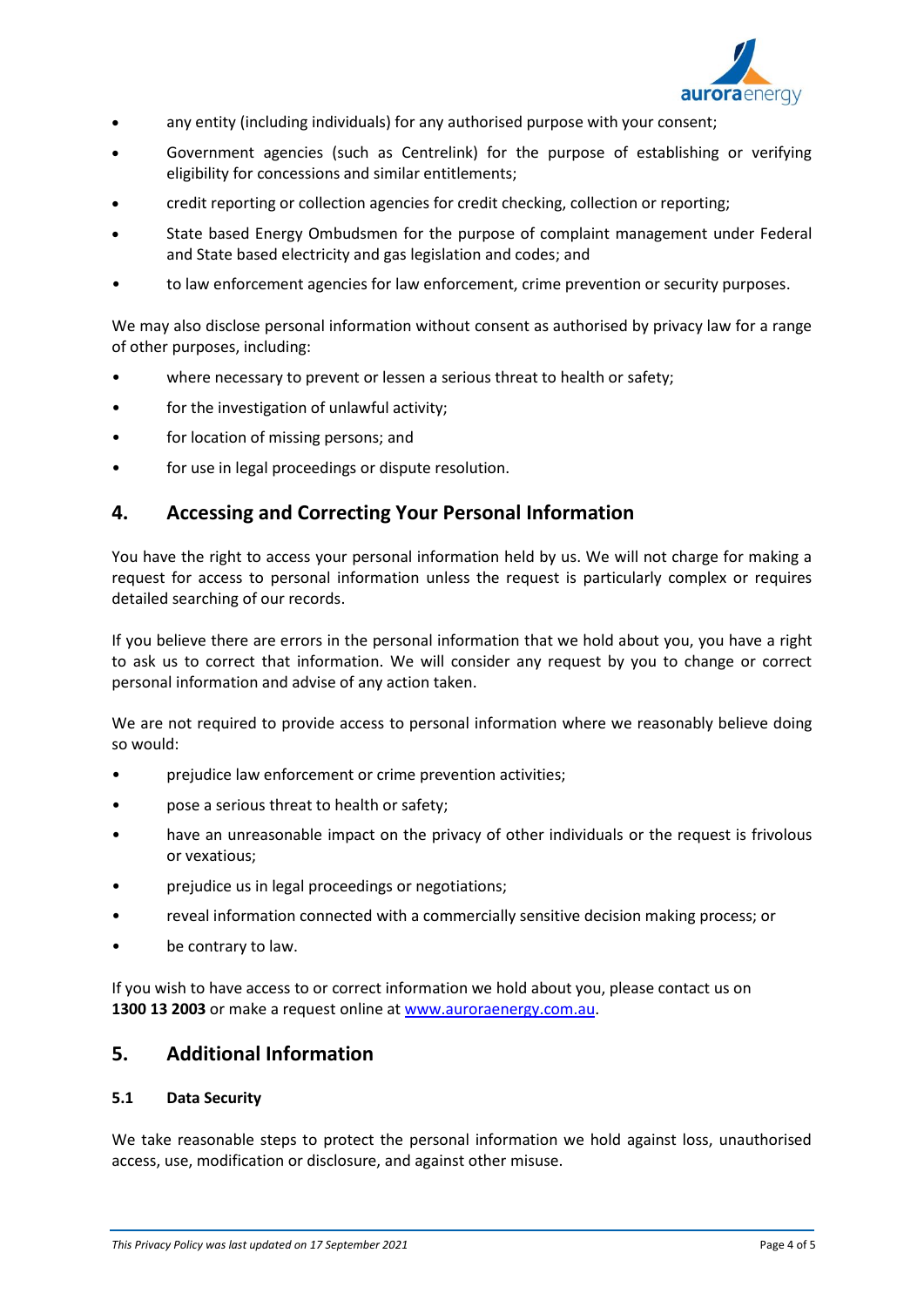

- any entity (including individuals) for any authorised purpose with your consent;
- Government agencies (such as Centrelink) for the purpose of establishing or verifying eligibility for concessions and similar entitlements;
- credit reporting or collection agencies for credit checking, collection or reporting;
- State based Energy Ombudsmen for the purpose of complaint management under Federal and State based electricity and gas legislation and codes; and
- to law enforcement agencies for law enforcement, crime prevention or security purposes.

We may also disclose personal information without consent as authorised by privacy law for a range of other purposes, including:

- where necessary to prevent or lessen a serious threat to health or safety;
- for the investigation of unlawful activity;
- for location of missing persons; and
- for use in legal proceedings or dispute resolution.

## **4. Accessing and Correcting Your Personal Information**

You have the right to access your personal information held by us. We will not charge for making a request for access to personal information unless the request is particularly complex or requires detailed searching of our records.

If you believe there are errors in the personal information that we hold about you, you have a right to ask us to correct that information. We will consider any request by you to change or correct personal information and advise of any action taken.

We are not required to provide access to personal information where we reasonably believe doing so would:

- prejudice law enforcement or crime prevention activities;
- pose a serious threat to health or safety;
- have an unreasonable impact on the privacy of other individuals or the request is frivolous or vexatious;
- prejudice us in legal proceedings or negotiations;
- reveal information connected with a commercially sensitive decision making process; or
- be contrary to law.

If you wish to have access to or correct information we hold about you, please contact us on **1300 13 2003** or make a request online a[t www.auroraenergy.com.au.](http://www.auroraenergy.com.au/)

## **5. Additional Information**

#### **5.1 Data Security**

We take reasonable steps to protect the personal information we hold against loss, unauthorised access, use, modification or disclosure, and against other misuse.